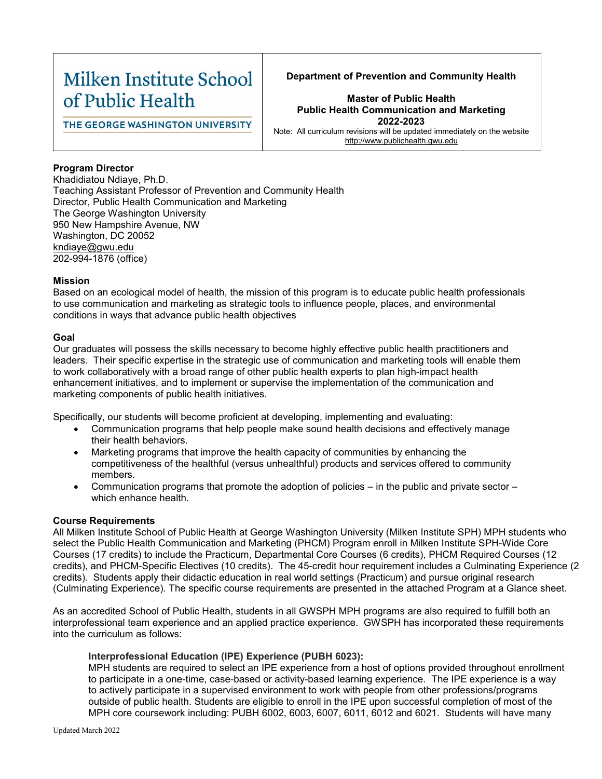# Milken Institute School of Public Health

# **Department of Prevention and Community Health**

THE GEORGE WASHINGTON UNIVERSITY

# **Master of Public Health Public Health Communication and Marketing 2022-2023**

Note: All curriculum revisions will be updated immediately on the website [http://www.publichealth.gwu.edu](http://www.publichealth.gwu.edu/)

# **Program Director**

Khadidiatou Ndiaye, Ph.D. Teaching Assistant Professor of Prevention and Community Health Director, Public Health Communication and Marketing The George Washington University 950 New Hampshire Avenue, NW Washington, DC 20052 kndiaye@gwu.edu 202-994-1876 (office)

# **Mission**

Based on an ecological model of health, the mission of this program is to educate public health professionals to use communication and marketing as strategic tools to influence people, places, and environmental conditions in ways that advance public health objectives

# **Goal**

Our graduates will possess the skills necessary to become highly effective public health practitioners and leaders. Their specific expertise in the strategic use of communication and marketing tools will enable them to work collaboratively with a broad range of other public health experts to plan high-impact health enhancement initiatives, and to implement or supervise the implementation of the communication and marketing components of public health initiatives.

Specifically, our students will become proficient at developing, implementing and evaluating:

- Communication programs that help people make sound health decisions and effectively manage their health behaviors.
- Marketing programs that improve the health capacity of communities by enhancing the competitiveness of the healthful (versus unhealthful) products and services offered to community members.
- Communication programs that promote the adoption of policies in the public and private sector which enhance health.

# **Course Requirements**

All Milken Institute School of Public Health at George Washington University (Milken Institute SPH) MPH students who select the Public Health Communication and Marketing (PHCM) Program enroll in Milken Institute SPH-Wide Core Courses (17 credits) to include the Practicum, Departmental Core Courses (6 credits), PHCM Required Courses (12 credits), and PHCM-Specific Electives (10 credits). The 45-credit hour requirement includes a Culminating Experience (2 credits). Students apply their didactic education in real world settings (Practicum) and pursue original research (Culminating Experience). The specific course requirements are presented in the attached Program at a Glance sheet.

As an accredited School of Public Health, students in all GWSPH MPH programs are also required to fulfill both an interprofessional team experience and an applied practice experience. GWSPH has incorporated these requirements into the curriculum as follows:

# **Interprofessional Education (IPE) Experience (PUBH 6023):**

MPH students are required to select an IPE experience from a host of options provided throughout enrollment to participate in a one-time, case-based or activity-based learning experience. The IPE experience is a way to actively participate in a supervised environment to work with people from other professions/programs outside of public health. Students are eligible to enroll in the IPE upon successful completion of most of the MPH core coursework including: PUBH 6002, 6003, 6007, 6011, 6012 and 6021. Students will have many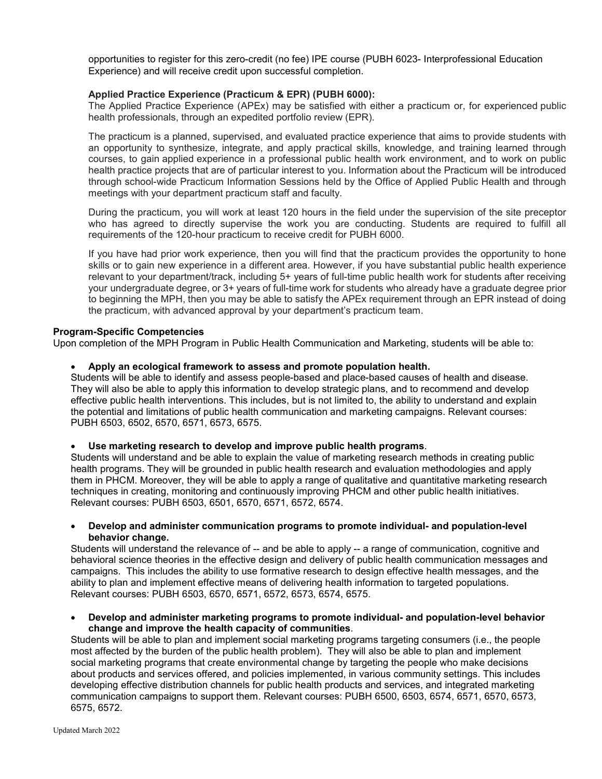opportunities to register for this zero-credit (no fee) IPE course (PUBH 6023- Interprofessional Education Experience) and will receive credit upon successful completion.

# **Applied Practice Experience (Practicum & EPR) (PUBH 6000):**

The Applied Practice Experience (APEx) may be satisfied with either a practicum or, for experienced public health professionals, through an expedited portfolio review (EPR).

The practicum is a planned, supervised, and evaluated practice experience that aims to provide students with an opportunity to synthesize, integrate, and apply practical skills, knowledge, and training learned through courses, to gain applied experience in a professional public health work environment, and to work on public health practice projects that are of particular interest to you. Information about the Practicum will be introduced through school-wide Practicum Information Sessions held by the Office of Applied Public Health and through meetings with your department practicum staff and faculty.

During the practicum, you will work at least 120 hours in the field under the supervision of the site preceptor who has agreed to directly supervise the work you are conducting. Students are required to fulfill all requirements of the 120-hour practicum to receive credit for PUBH 6000.

If you have had prior work experience, then you will find that the practicum provides the opportunity to hone skills or to gain new experience in a different area. However, if you have substantial public health experience relevant to your department/track, including 5+ years of full-time public health work for students after receiving your undergraduate degree, or 3+ years of full-time work for students who already have a graduate degree prior to beginning the MPH, then you may be able to satisfy the APEx requirement through an EPR instead of doing the practicum, with advanced approval by your department's practicum team.

# **Program-Specific Competencies**

Upon completion of the MPH Program in Public Health Communication and Marketing, students will be able to:

# • **Apply an ecological framework to assess and promote population health.**

Students will be able to identify and assess people-based and place-based causes of health and disease. They will also be able to apply this information to develop strategic plans, and to recommend and develop effective public health interventions. This includes, but is not limited to, the ability to understand and explain the potential and limitations of public health communication and marketing campaigns. Relevant courses: PUBH 6503, 6502, 6570, 6571, 6573, 6575.

#### • **Use marketing research to develop and improve public health programs**.

Students will understand and be able to explain the value of marketing research methods in creating public health programs. They will be grounded in public health research and evaluation methodologies and apply them in PHCM. Moreover, they will be able to apply a range of qualitative and quantitative marketing research techniques in creating, monitoring and continuously improving PHCM and other public health initiatives. Relevant courses: PUBH 6503, 6501, 6570, 6571, 6572, 6574.

#### • **Develop and administer communication programs to promote individual- and population-level behavior change.**

Students will understand the relevance of -- and be able to apply -- a range of communication, cognitive and behavioral science theories in the effective design and delivery of public health communication messages and campaigns. This includes the ability to use formative research to design effective health messages, and the ability to plan and implement effective means of delivering health information to targeted populations. Relevant courses: PUBH 6503, 6570, 6571, 6572, 6573, 6574, 6575.

#### • **Develop and administer marketing programs to promote individual- and population-level behavior change and improve the health capacity of communities**.

Students will be able to plan and implement social marketing programs targeting consumers (i.e., the people most affected by the burden of the public health problem). They will also be able to plan and implement social marketing programs that create environmental change by targeting the people who make decisions about products and services offered, and policies implemented, in various community settings. This includes developing effective distribution channels for public health products and services, and integrated marketing communication campaigns to support them. Relevant courses: PUBH 6500, 6503, 6574, 6571, 6570, 6573, 6575, 6572.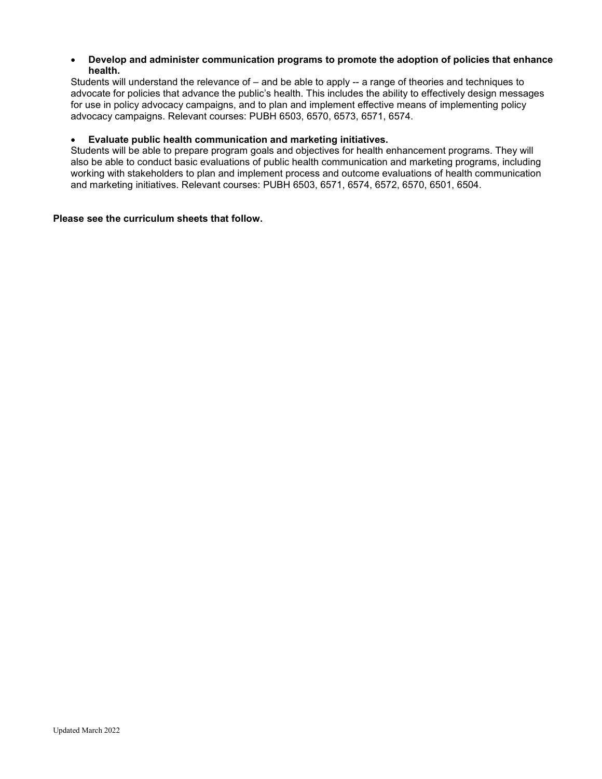# • **Develop and administer communication programs to promote the adoption of policies that enhance health.**

Students will understand the relevance of – and be able to apply -- a range of theories and techniques to advocate for policies that advance the public's health. This includes the ability to effectively design messages for use in policy advocacy campaigns, and to plan and implement effective means of implementing policy advocacy campaigns. Relevant courses: PUBH 6503, 6570, 6573, 6571, 6574.

# • **Evaluate public health communication and marketing initiatives.**

Students will be able to prepare program goals and objectives for health enhancement programs. They will also be able to conduct basic evaluations of public health communication and marketing programs, including working with stakeholders to plan and implement process and outcome evaluations of health communication and marketing initiatives. Relevant courses: PUBH 6503, 6571, 6574, 6572, 6570, 6501, 6504.

# **Please see the curriculum sheets that follow.**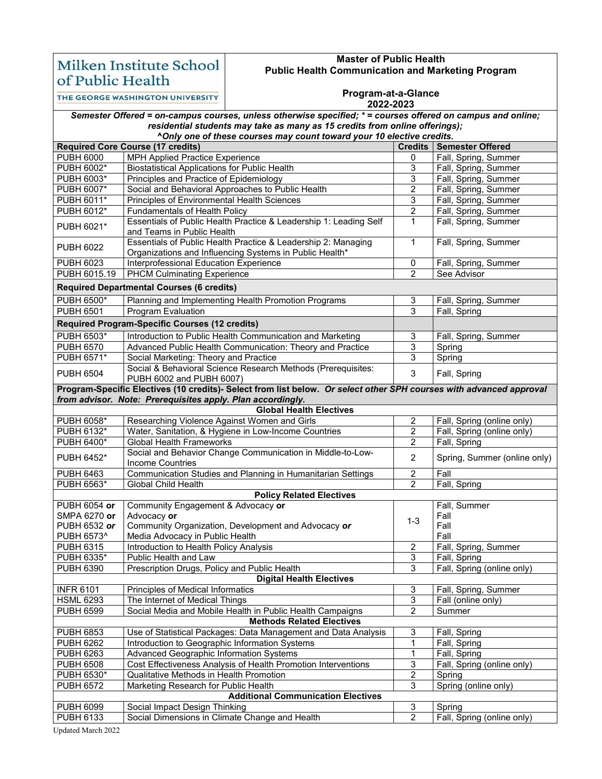# Milken Institute School of Public Health

# **Master of Public Health Public Health Communication and Marketing Program**

THE GEORGE WASHINGTON UNIVERSITY

#### **Program-at-a-Glance**

#### **2022-2023**

| Semester Offered = on-campus courses, unless otherwise specified; * = courses offered on campus and online; |                                                                                                                          |                         |                              |  |  |
|-------------------------------------------------------------------------------------------------------------|--------------------------------------------------------------------------------------------------------------------------|-------------------------|------------------------------|--|--|
| residential students may take as many as 15 credits from online offerings);                                 |                                                                                                                          |                         |                              |  |  |
|                                                                                                             | ^Only one of these courses may count toward your 10 elective credits.                                                    |                         |                              |  |  |
|                                                                                                             | <b>Required Core Course (17 credits)</b>                                                                                 | Credits                 | <b>Semester Offered</b>      |  |  |
| <b>PUBH 6000</b>                                                                                            | MPH Applied Practice Experience                                                                                          | 0                       | Fall, Spring, Summer         |  |  |
| PUBH 6002*                                                                                                  | <b>Biostatistical Applications for Public Health</b>                                                                     | 3                       | Fall, Spring, Summer         |  |  |
| PUBH 6003*                                                                                                  | Principles and Practice of Epidemiology                                                                                  | $\mathfrak{S}$          | Fall, Spring, Summer         |  |  |
| PUBH 6007*                                                                                                  | Social and Behavioral Approaches to Public Health                                                                        | 2                       | Fall, Spring, Summer         |  |  |
| PUBH 6011*                                                                                                  | Principles of Environmental Health Sciences                                                                              | $\overline{3}$          | Fall, Spring, Summer         |  |  |
| PUBH 6012*                                                                                                  | <b>Fundamentals of Health Policy</b>                                                                                     | $\overline{2}$          | Fall, Spring, Summer         |  |  |
| PUBH 6021*                                                                                                  | Essentials of Public Health Practice & Leadership 1: Leading Self<br>and Teams in Public Health                          | $\mathbf{1}$            | Fall, Spring, Summer         |  |  |
| <b>PUBH 6022</b>                                                                                            | Essentials of Public Health Practice & Leadership 2: Managing<br>Organizations and Influencing Systems in Public Health* | 1                       | Fall, Spring, Summer         |  |  |
| <b>PUBH 6023</b>                                                                                            | Interprofessional Education Experience                                                                                   | 0                       | Fall, Spring, Summer         |  |  |
| PUBH 6015.19                                                                                                | <b>PHCM Culminating Experience</b>                                                                                       | $\overline{2}$          | See Advisor                  |  |  |
| <b>Required Departmental Courses (6 credits)</b>                                                            |                                                                                                                          |                         |                              |  |  |
| PUBH 6500*                                                                                                  | Planning and Implementing Health Promotion Programs                                                                      | 3                       | Fall, Spring, Summer         |  |  |
| <b>PUBH 6501</b>                                                                                            | Program Evaluation                                                                                                       | $\overline{3}$          | Fall, Spring                 |  |  |
|                                                                                                             | <b>Required Program-Specific Courses (12 credits)</b>                                                                    |                         |                              |  |  |
| <b>PUBH 6503*</b>                                                                                           | Introduction to Public Health Communication and Marketing                                                                | 3                       | Fall, Spring, Summer         |  |  |
| <b>PUBH 6570</b>                                                                                            | Advanced Public Health Communication: Theory and Practice                                                                | $\overline{3}$          | Spring                       |  |  |
| <b>PUBH 6571*</b>                                                                                           | Social Marketing: Theory and Practice                                                                                    | 3                       | Spring                       |  |  |
| <b>PUBH 6504</b>                                                                                            | Social & Behavioral Science Research Methods (Prerequisites:<br>PUBH 6002 and PUBH 6007)                                 | $\mathfrak{S}$          | Fall, Spring                 |  |  |
|                                                                                                             | Program-Specific Electives (10 credits)- Select from list below. Or select other SPH courses with advanced approval      |                         |                              |  |  |
|                                                                                                             | from advisor. Note: Prerequisites apply. Plan accordingly.                                                               |                         |                              |  |  |
|                                                                                                             | <b>Global Health Electives</b>                                                                                           |                         |                              |  |  |
| PUBH 6058*                                                                                                  | Researching Violence Against Women and Girls                                                                             | $\overline{c}$          | Fall, Spring (online only)   |  |  |
| PUBH 6132*                                                                                                  | Water, Sanitation, & Hygiene in Low-Income Countries                                                                     | 2                       | Fall, Spring (online only)   |  |  |
| PUBH 6400*                                                                                                  | <b>Global Health Frameworks</b>                                                                                          | $\boldsymbol{2}$        | Fall, Spring                 |  |  |
| PUBH 6452*                                                                                                  | Social and Behavior Change Communication in Middle-to-Low-<br><b>Income Countries</b>                                    | $\overline{2}$          | Spring, Summer (online only) |  |  |
| <b>PUBH 6463</b>                                                                                            | Communication Studies and Planning in Humanitarian Settings                                                              | $\overline{2}$          | Fall                         |  |  |
| PUBH 6563*                                                                                                  | Global Child Health                                                                                                      | 2                       | Fall, Spring                 |  |  |
| <b>Policy Related Electives</b>                                                                             |                                                                                                                          |                         |                              |  |  |
| PUBH 6054 or                                                                                                | Community Engagement & Advocacy or                                                                                       |                         | Fall, Summer                 |  |  |
| SMPA 6270 or                                                                                                | Advocacy or                                                                                                              | $1 - 3$                 | Fall                         |  |  |
| PUBH 6532 or                                                                                                | Community Organization, Development and Advocacy or                                                                      |                         | Fall                         |  |  |
| PUBH 6573^                                                                                                  | Media Advocacy in Public Health                                                                                          |                         | Fall                         |  |  |
| <b>PUBH 6315</b>                                                                                            | Introduction to Health Policy Analysis                                                                                   | $\overline{c}$          | Fall, Spring, Summer         |  |  |
| PUBH 6335*                                                                                                  | Public Health and Law                                                                                                    | 3                       | Fall, Spring                 |  |  |
| PUBH 6390<br>Prescription Drugs, Policy and Public Health<br>3<br>Fall, Spring (online only)                |                                                                                                                          |                         |                              |  |  |
| <b>INFR 6101</b>                                                                                            | <b>Digital Health Electives</b><br>Principles of Medical Informatics                                                     | 3                       | Fall, Spring, Summer         |  |  |
| <b>HSML 6293</b>                                                                                            | The Internet of Medical Things                                                                                           | 3                       | Fall (online only)           |  |  |
| <b>PUBH 6599</b>                                                                                            | Social Media and Mobile Health in Public Health Campaigns                                                                | $\overline{2}$          | Summer                       |  |  |
|                                                                                                             | <b>Methods Related Electives</b>                                                                                         |                         |                              |  |  |
| <b>PUBH 6853</b>                                                                                            | Use of Statistical Packages: Data Management and Data Analysis                                                           | 3                       | Fall, Spring                 |  |  |
| <b>PUBH 6262</b>                                                                                            | Introduction to Geographic Information Systems                                                                           | 1                       | Fall, Spring                 |  |  |
| <b>PUBH 6263</b>                                                                                            | Advanced Geographic Information Systems                                                                                  | 1                       | Fall, Spring                 |  |  |
| <b>PUBH 6508</b>                                                                                            | Cost Effectiveness Analysis of Health Promotion Interventions                                                            | 3                       | Fall, Spring (online only)   |  |  |
| PUBH 6530*                                                                                                  | Qualitative Methods in Health Promotion                                                                                  | $\overline{\mathbf{c}}$ | Spring                       |  |  |
| <b>PUBH 6572</b>                                                                                            | Marketing Research for Public Health                                                                                     | 3                       | Spring (online only)         |  |  |
| <b>Additional Communication Electives</b>                                                                   |                                                                                                                          |                         |                              |  |  |
| <b>PUBH 6099</b>                                                                                            | Social Impact Design Thinking                                                                                            | 3                       | Spring                       |  |  |
| PUBH 6133                                                                                                   | Social Dimensions in Climate Change and Health                                                                           | $\overline{2}$          | Fall, Spring (online only)   |  |  |

Updated March 2022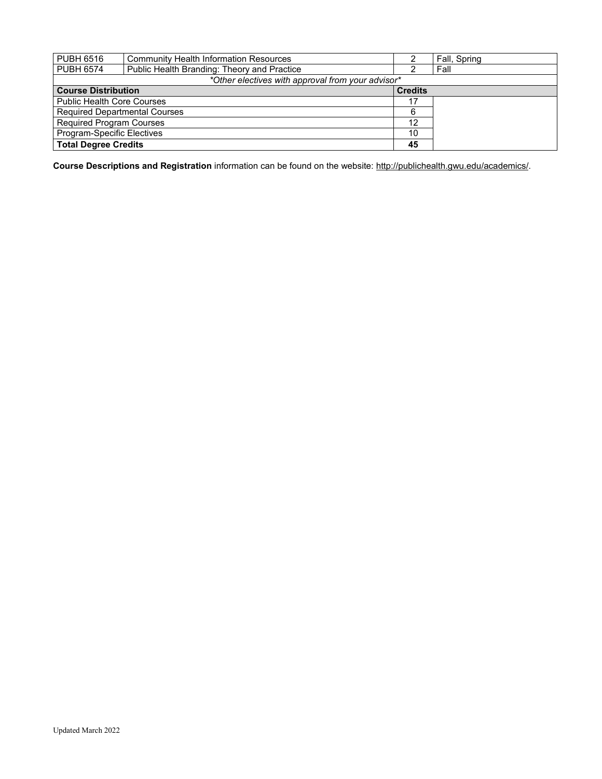| <b>PUBH 6516</b>                                  | <b>Community Health Information Resources</b> |                | Fall, Spring |  |  |
|---------------------------------------------------|-----------------------------------------------|----------------|--------------|--|--|
| <b>PUBH 6574</b>                                  | Public Health Branding: Theory and Practice   |                | Fall         |  |  |
| *Other electives with approval from your advisor* |                                               |                |              |  |  |
| <b>Course Distribution</b>                        |                                               | <b>Credits</b> |              |  |  |
| <b>Public Health Core Courses</b>                 |                                               | 17             |              |  |  |
| <b>Required Departmental Courses</b>              |                                               | 6              |              |  |  |
| <b>Required Program Courses</b>                   |                                               | 12             |              |  |  |
| Program-Specific Electives                        |                                               | 10             |              |  |  |
| <b>Total Degree Credits</b>                       |                                               | 45             |              |  |  |

**Course Descriptions and Registration** information can be found on the website[: http://publichealth.gwu.edu/academics/.](http://publichealth.gwu.edu/academics/)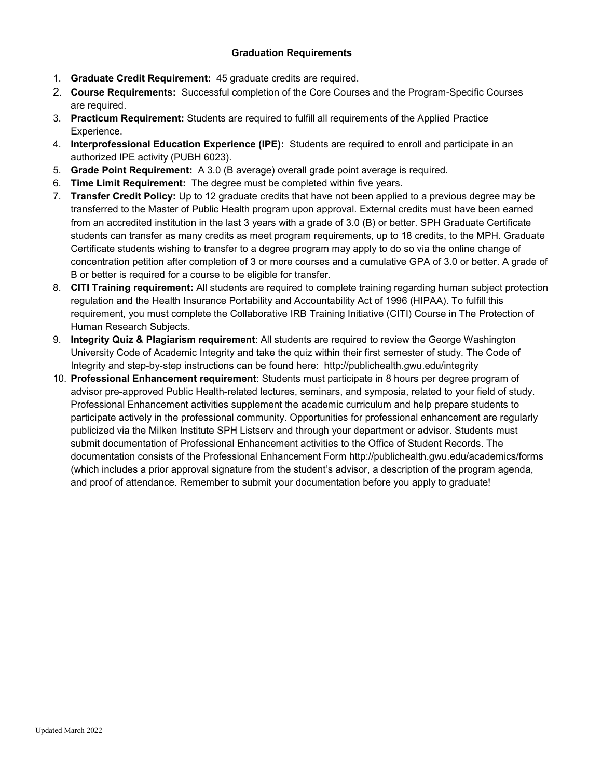# **Graduation Requirements**

- 1. **Graduate Credit Requirement:** 45 graduate credits are required.
- 2. **Course Requirements:** Successful completion of the Core Courses and the Program-Specific Courses are required.
- 3. **Practicum Requirement:** Students are required to fulfill all requirements of the Applied Practice Experience.
- 4. **Interprofessional Education Experience (IPE):** Students are required to enroll and participate in an authorized IPE activity (PUBH 6023).
- 5. **Grade Point Requirement:** A 3.0 (B average) overall grade point average is required.
- 6. **Time Limit Requirement:** The degree must be completed within five years.
- 7. **Transfer Credit Policy:** Up to 12 graduate credits that have not been applied to a previous degree may be transferred to the Master of Public Health program upon approval. External credits must have been earned from an accredited institution in the last 3 years with a grade of 3.0 (B) or better. SPH Graduate Certificate students can transfer as many credits as meet program requirements, up to 18 credits, to the MPH. Graduate Certificate students wishing to transfer to a degree program may apply to do so via the online change of concentration petition after completion of 3 or more courses and a cumulative GPA of 3.0 or better. A grade of B or better is required for a course to be eligible for transfer.
- 8. **CITI Training requirement:** All students are required to complete training regarding human subject protection regulation and the Health Insurance Portability and Accountability Act of 1996 (HIPAA). To fulfill this requirement, you must complete the Collaborative IRB Training Initiative (CITI) Course in The Protection of Human Research Subjects.
- 9. **Integrity Quiz & Plagiarism requirement**: All students are required to review the George Washington University Code of Academic Integrity and take the quiz within their first semester of study. The Code of Integrity and step-by-step instructions can be found here: http://publichealth.gwu.edu/integrity
- 10. **Professional Enhancement requirement**: Students must participate in 8 hours per degree program of advisor pre-approved Public Health-related lectures, seminars, and symposia, related to your field of study. Professional Enhancement activities supplement the academic curriculum and help prepare students to participate actively in the professional community. Opportunities for professional enhancement are regularly publicized via the Milken Institute SPH Listserv and through your department or advisor. Students must submit documentation of Professional Enhancement activities to the Office of Student Records. The documentation consists of the Professional Enhancement Form http://publichealth.gwu.edu/academics/forms (which includes a prior approval signature from the student's advisor, a description of the program agenda, and proof of attendance. Remember to submit your documentation before you apply to graduate!